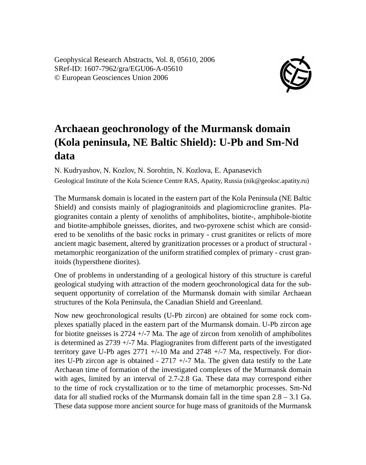Geophysical Research Abstracts, Vol. 8, 05610, 2006 SRef-ID: 1607-7962/gra/EGU06-A-05610 © European Geosciences Union 2006



## **Archaean geochronology of the Murmansk domain (Kola peninsula, NE Baltic Shield): U-Pb and Sm-Nd data**

N. Kudryashov, N. Kozlov, N. Sorohtin, N. Kozlova, E. Apanasevich Geological Institute of the Kola Science Centre RAS, Apatity, Russia (nik@geoksc.apatity.ru)

The Murmansk domain is located in the eastern part of the Kola Peninsula (NE Baltic Shield) and consists mainly of plagiogranitoids and plagiomicrocline granites. Plagiogranites contain a plenty of xenoliths of amphibolites, biotite-, amphibole-biotite and biotite-amphibole gneisses, diorites, and two-pyroxene schist which are considered to be xenoliths of the basic rocks in primary - crust granitites or relicts of more ancient magic basement, altered by granitization processes or a product of structural metamorphic reorganization of the uniform stratified complex of primary - crust granitoids (hypersthene diorites).

One of problems in understanding of a geological history of this structure is careful geological studying with attraction of the modern geochronological data for the subsequent opportunity of correlation of the Murmansk domain with similar Archaean structures of the Kola Peninsula, the Canadian Shield and Greenland.

Now new geochronological results (U-Pb zircon) are obtained for some rock complexes spatially placed in the eastern part of the Murmansk domain. U-Pb zircon age for biotite gneisses is  $2724 + (-7)$  Ma. The age of zircon from xenolith of amphibolites is determined as  $2739 + (-7)$  Ma. Plagiogranites from different parts of the investigated territory gave U-Pb ages  $2771 + (-10$  Ma and  $2748 + (-7)$  Ma, respectively. For diorites U-Pb zircon age is obtained  $-2717 +17$  Ma. The given data testify to the Late Archaean time of formation of the investigated complexes of the Murmansk domain with ages, limited by an interval of 2.7-2.8 Ga. These data may correspond either to the time of rock crystallization or to the time of metamorphic processes. Sm-Nd data for all studied rocks of the Murmansk domain fall in the time span 2.8 – 3.1 Ga. These data suppose more ancient source for huge mass of granitoids of the Murmansk